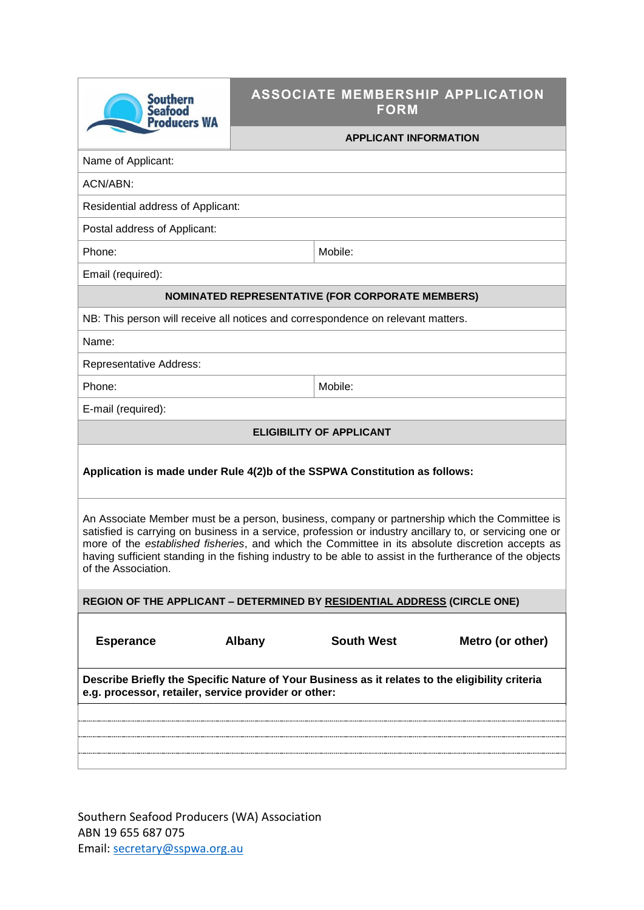|                                                                                                                                                                                                                                                                                                                                                                                                                                                   | <b>FORM</b>                  |                                                                            |  |  |  |
|---------------------------------------------------------------------------------------------------------------------------------------------------------------------------------------------------------------------------------------------------------------------------------------------------------------------------------------------------------------------------------------------------------------------------------------------------|------------------------------|----------------------------------------------------------------------------|--|--|--|
|                                                                                                                                                                                                                                                                                                                                                                                                                                                   | <b>APPLICANT INFORMATION</b> |                                                                            |  |  |  |
|                                                                                                                                                                                                                                                                                                                                                                                                                                                   |                              |                                                                            |  |  |  |
|                                                                                                                                                                                                                                                                                                                                                                                                                                                   |                              |                                                                            |  |  |  |
| Residential address of Applicant:                                                                                                                                                                                                                                                                                                                                                                                                                 |                              |                                                                            |  |  |  |
| Postal address of Applicant:                                                                                                                                                                                                                                                                                                                                                                                                                      |                              |                                                                            |  |  |  |
|                                                                                                                                                                                                                                                                                                                                                                                                                                                   | Mobile:                      |                                                                            |  |  |  |
|                                                                                                                                                                                                                                                                                                                                                                                                                                                   |                              |                                                                            |  |  |  |
| <b>NOMINATED REPRESENTATIVE (FOR CORPORATE MEMBERS)</b>                                                                                                                                                                                                                                                                                                                                                                                           |                              |                                                                            |  |  |  |
| NB: This person will receive all notices and correspondence on relevant matters.                                                                                                                                                                                                                                                                                                                                                                  |                              |                                                                            |  |  |  |
| Name:                                                                                                                                                                                                                                                                                                                                                                                                                                             |                              |                                                                            |  |  |  |
| <b>Representative Address:</b>                                                                                                                                                                                                                                                                                                                                                                                                                    |                              |                                                                            |  |  |  |
|                                                                                                                                                                                                                                                                                                                                                                                                                                                   | Mobile:                      |                                                                            |  |  |  |
|                                                                                                                                                                                                                                                                                                                                                                                                                                                   |                              |                                                                            |  |  |  |
|                                                                                                                                                                                                                                                                                                                                                                                                                                                   |                              |                                                                            |  |  |  |
| Application is made under Rule 4(2)b of the SSPWA Constitution as follows:                                                                                                                                                                                                                                                                                                                                                                        |                              |                                                                            |  |  |  |
| An Associate Member must be a person, business, company or partnership which the Committee is<br>satisfied is carrying on business in a service, profession or industry ancillary to, or servicing one or<br>more of the established fisheries, and which the Committee in its absolute discretion accepts as<br>having sufficient standing in the fishing industry to be able to assist in the furtherance of the objects<br>of the Association. |                              |                                                                            |  |  |  |
| REGION OF THE APPLICANT - DETERMINED BY RESIDENTIAL ADDRESS (CIRCLE ONE)                                                                                                                                                                                                                                                                                                                                                                          |                              |                                                                            |  |  |  |
| <b>Albany</b>                                                                                                                                                                                                                                                                                                                                                                                                                                     | <b>South West</b>            | Metro (or other)                                                           |  |  |  |
| Describe Briefly the Specific Nature of Your Business as it relates to the eligibility criteria<br>e.g. processor, retailer, service provider or other:                                                                                                                                                                                                                                                                                           |                              |                                                                            |  |  |  |
|                                                                                                                                                                                                                                                                                                                                                                                                                                                   |                              |                                                                            |  |  |  |
|                                                                                                                                                                                                                                                                                                                                                                                                                                                   |                              |                                                                            |  |  |  |
|                                                                                                                                                                                                                                                                                                                                                                                                                                                   |                              |                                                                            |  |  |  |
|                                                                                                                                                                                                                                                                                                                                                                                                                                                   |                              | <b>ASSOCIATE MEMBERSHIP APPLICATION</b><br><b>ELIGIBILITY OF APPLICANT</b> |  |  |  |

Southern Seafood Producers (WA) Association ABN 19 655 687 075 Email: [secretary@sspwa.org.au](mailto:secretary@sspwa.org.au)